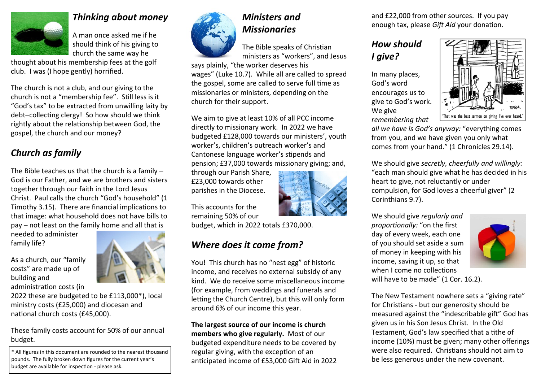

#### *Thinking about money*

A man once asked me if he should think of his giving to church the same way he

thought about his membership fees at the golf club. I was (I hope gently) horrified.

The church is not a club, and our giving to the church is not a "membership fee". Still less is it "God's tax" to be extracted from unwilling laity by debt–collecting clergy! So how should we think rightly about the relationship between God, the gospel, the church and our money?

## *Church as family*

The Bible teaches us that the church is a family – God is our Father, and we are brothers and sisters together through our faith in the Lord Jesus Christ. Paul calls the church "God's household" (1 Timothy 3.15). There are financial implications to that image: what household does not have bills to pay – not least on the family home and all that is

needed to administer family life?

As a church, our "family costs" are made up of building and administration costs (in

2022 these are budgeted to be £113,000\*), local ministry costs (£25,000) and diocesan and national church costs (£45,000).

These family costs account for 50% of our annual budget.

\* All figures in this document are rounded to the nearest thousand pounds. The fully broken down figures for the current year's budget are available for inspection - please ask.



# *Ministers and Missionaries*

The Bible speaks of Christian ministers as "workers", and Jesus

says plainly, "the worker deserves his wages" (Luke 10.7). While all are called to spread the gospel, some are called to serve full time as missionaries or ministers, depending on the church for their support.

We aim to give at least 10% of all PCC income directly to missionary work. In 2022 we have budgeted £128,000 towards our ministers', youth worker's, children's outreach worker's and Cantonese language worker's stipends and pension; £37,000 towards missionary giving; and,

through our Parish Share, £23,000 towards other parishes in the Diocese.

This accounts for the remaining 50% of our

budget, which in 2022 totals £370,000.

# *Where does it come from?*

You! This church has no "nest egg" of historic income, and receives no external subsidy of any kind. We do receive some miscellaneous income (for example, from weddings and funerals and letting the Church Centre), but this will only form around 6% of our income this year.

**The largest source of our income is church members who give regularly.** Most of our budgeted expenditure needs to be covered by regular giving, with the exception of an anticipated income of £53,000 Gift Aid in 2022 and £22,000 from other sources. If you pay enough tax, please *Gift Aid* your donation.

## *How should I give?*

In many places, God's word encourages us to give to God's work. We give *remembering that* 



*all we have is God's anyway:* "everything comes from you, and we have given you only what comes from your hand." (1 Chronicles 29.14).

We should give *secretly, cheerfully and willingly:* "each man should give what he has decided in his heart to give, not reluctantly or under compulsion, for God loves a cheerful giver" (2 Corinthians 9.7).

We should give *regularly and proportionally:* "on the first day of every week, each one of you should set aside a sum of money in keeping with his income, saving it up, so that when I come no collections



will have to be made" (1 Cor. 16.2).

The New Testament nowhere sets a "giving rate" for Christians - but our generosity should be measured against the "indescribable gift" God has given us in his Son Jesus Christ. In the Old Testament, God's law specified that a tithe of income (10%) must be given; many other offerings were also required. Christians should not aim to be less generous under the new covenant.